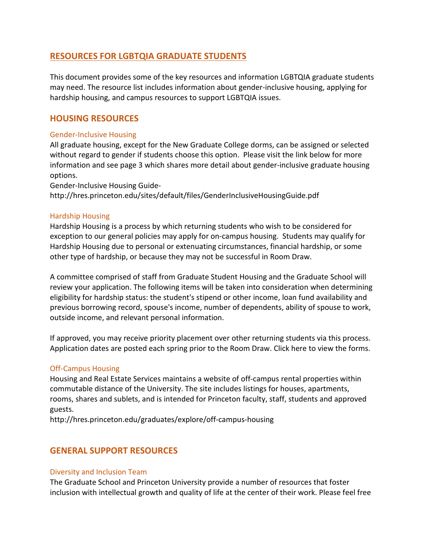# **RESOURCES FOR LGBTQIA GRADUATE STUDENTS**

This document provides some of the key resources and information LGBTQIA graduate students may need. The resource list includes information about gender-inclusive housing, applying for hardship housing, and campus resources to support LGBTQIA issues.

## **HOUSING RESOURCES**

## Gender-Inclusive Housing

All graduate housing, except for the New Graduate College dorms, can be assigned or selected without regard to gender if students choose this option. Please visit the link below for more information and see page 3 which shares more detail about gender-inclusive graduate housing options.

Gender-Inclusive Housing Guide-

http://hres.princeton.edu/sites/default/files/GenderInclusiveHousingGuide.pdf

### Hardship Housing

Hardship Housing is a process by which returning students who wish to be considered for exception to our general policies may apply for on-campus housing. Students may qualify for Hardship Housing due to personal or extenuating circumstances, financial hardship, or some other type of hardship, or because they may not be successful in Room Draw.

A committee comprised of staff from Graduate Student Housing and the Graduate School will review your application. The following items will be taken into consideration when determining eligibility for hardship status: the student's stipend or other income, loan fund availability and previous borrowing record, spouse's income, number of dependents, ability of spouse to work, outside income, and relevant personal information.

If approved, you may receive priority placement over other returning students via this process. Application dates are posted each spring prior to the Room Draw. Click here to view the forms.

## Off-Campus Housing

Housing and Real Estate Services maintains a website of off-campus rental properties within commutable distance of the University. The site includes listings for houses, apartments, rooms, shares and sublets, and is intended for Princeton faculty, staff, students and approved guests.

http://hres.princeton.edu/graduates/explore/off-campus-housing

## **GENERAL SUPPORT RESOURCES**

#### Diversity and Inclusion Team

The Graduate School and Princeton University provide a number of resources that foster inclusion with intellectual growth and quality of life at the center of their work. Please feel free